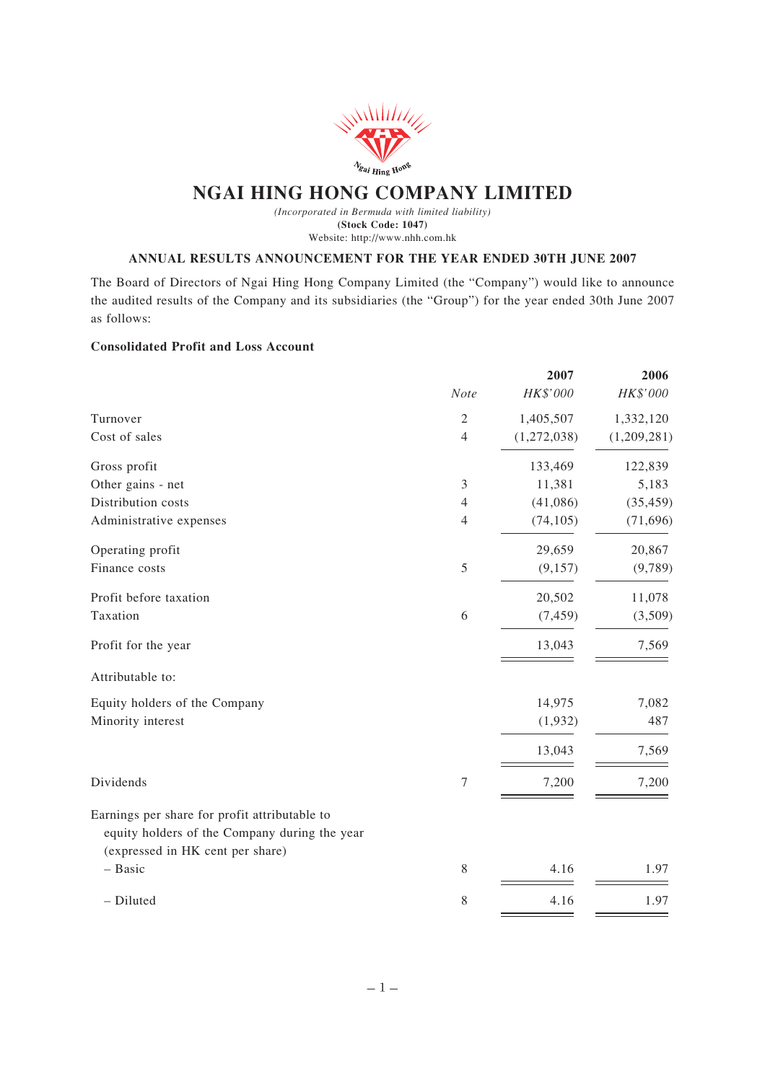

# **NGAI HING HONG COMPANY LIMITED**

*(Incorporated in Bermuda with limited liability)* **(Stock Code: 1047)** Website: http://www.nhh.com.hk

### **ANNUAL RESULTS ANNOUNCEMENT FOR THE YEAR ENDED 30TH JUNE 2007**

The Board of Directors of Ngai Hing Hong Company Limited (the "Company") would like to announce the audited results of the Company and its subsidiaries (the "Group") for the year ended 30th June 2007 as follows:

# **Consolidated Profit and Loss Account**

|                                                                                                |                | 2007        | 2006        |
|------------------------------------------------------------------------------------------------|----------------|-------------|-------------|
|                                                                                                | Note           | HK\$'000    | HK\$'000    |
| Turnover                                                                                       | $\sqrt{2}$     | 1,405,507   | 1,332,120   |
| Cost of sales                                                                                  | $\overline{4}$ | (1,272,038) | (1,209,281) |
| Gross profit                                                                                   |                | 133,469     | 122,839     |
| Other gains - net                                                                              | 3              | 11,381      | 5,183       |
| Distribution costs                                                                             | $\overline{4}$ | (41,086)    | (35, 459)   |
| Administrative expenses                                                                        | $\overline{4}$ | (74, 105)   | (71,696)    |
| Operating profit                                                                               |                | 29,659      | 20,867      |
| Finance costs                                                                                  | 5              | (9, 157)    | (9,789)     |
| Profit before taxation                                                                         |                | 20,502      | 11,078      |
| Taxation                                                                                       | 6              | (7, 459)    | (3,509)     |
| Profit for the year                                                                            |                | 13,043      | 7,569       |
| Attributable to:                                                                               |                |             |             |
| Equity holders of the Company                                                                  |                | 14,975      | 7,082       |
| Minority interest                                                                              |                | (1,932)     | 487         |
|                                                                                                |                | 13,043      | 7,569       |
| Dividends                                                                                      | 7              | 7,200       | 7,200       |
| Earnings per share for profit attributable to<br>equity holders of the Company during the year |                |             |             |
| (expressed in HK cent per share)                                                               |                |             |             |
| - Basic                                                                                        | 8              | 4.16        | 1.97        |
| - Diluted                                                                                      | 8              | 4.16        | 1.97        |
|                                                                                                |                |             |             |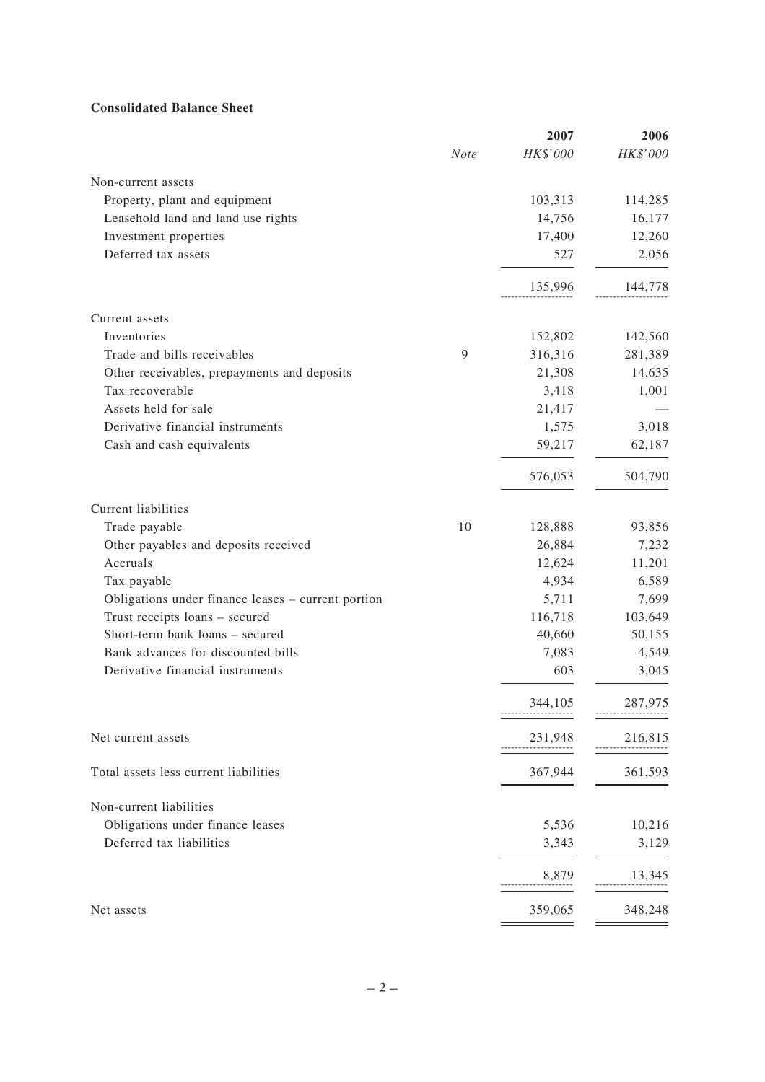# **Consolidated Balance Sheet**

|                                                    |      | 2007     | 2006     |
|----------------------------------------------------|------|----------|----------|
|                                                    | Note | HK\$'000 | HK\$'000 |
| Non-current assets                                 |      |          |          |
| Property, plant and equipment                      |      | 103,313  | 114,285  |
| Leasehold land and land use rights                 |      | 14,756   | 16,177   |
| Investment properties                              |      | 17,400   | 12,260   |
| Deferred tax assets                                |      | 527      | 2,056    |
|                                                    |      | 135,996  | 144,778  |
| Current assets                                     |      |          |          |
| Inventories                                        |      | 152,802  | 142,560  |
| Trade and bills receivables                        | 9    | 316,316  | 281,389  |
| Other receivables, prepayments and deposits        |      | 21,308   | 14,635   |
| Tax recoverable                                    |      | 3,418    | 1,001    |
| Assets held for sale                               |      | 21,417   |          |
| Derivative financial instruments                   |      | 1,575    | 3,018    |
| Cash and cash equivalents                          |      | 59,217   | 62,187   |
|                                                    |      | 576,053  | 504,790  |
| Current liabilities                                |      |          |          |
| Trade payable                                      | 10   | 128,888  | 93,856   |
| Other payables and deposits received               |      | 26,884   | 7,232    |
| Accruals                                           |      | 12,624   | 11,201   |
| Tax payable                                        |      | 4,934    | 6,589    |
| Obligations under finance leases - current portion |      | 5,711    | 7,699    |
| Trust receipts loans - secured                     |      | 116,718  | 103,649  |
| Short-term bank loans - secured                    |      | 40,660   | 50,155   |
| Bank advances for discounted bills                 |      | 7,083    | 4,549    |
| Derivative financial instruments                   |      | 603      | 3,045    |
|                                                    |      | 344,105  | 287,975  |
| Net current assets                                 |      | 231,948  | 216,815  |
| Total assets less current liabilities              |      | 367,944  | 361,593  |
| Non-current liabilities                            |      |          |          |
| Obligations under finance leases                   |      | 5,536    | 10,216   |
| Deferred tax liabilities                           |      | 3,343    | 3,129    |
|                                                    |      | 8,879    | 13,345   |
| Net assets                                         |      | 359,065  | 348,248  |
|                                                    |      |          |          |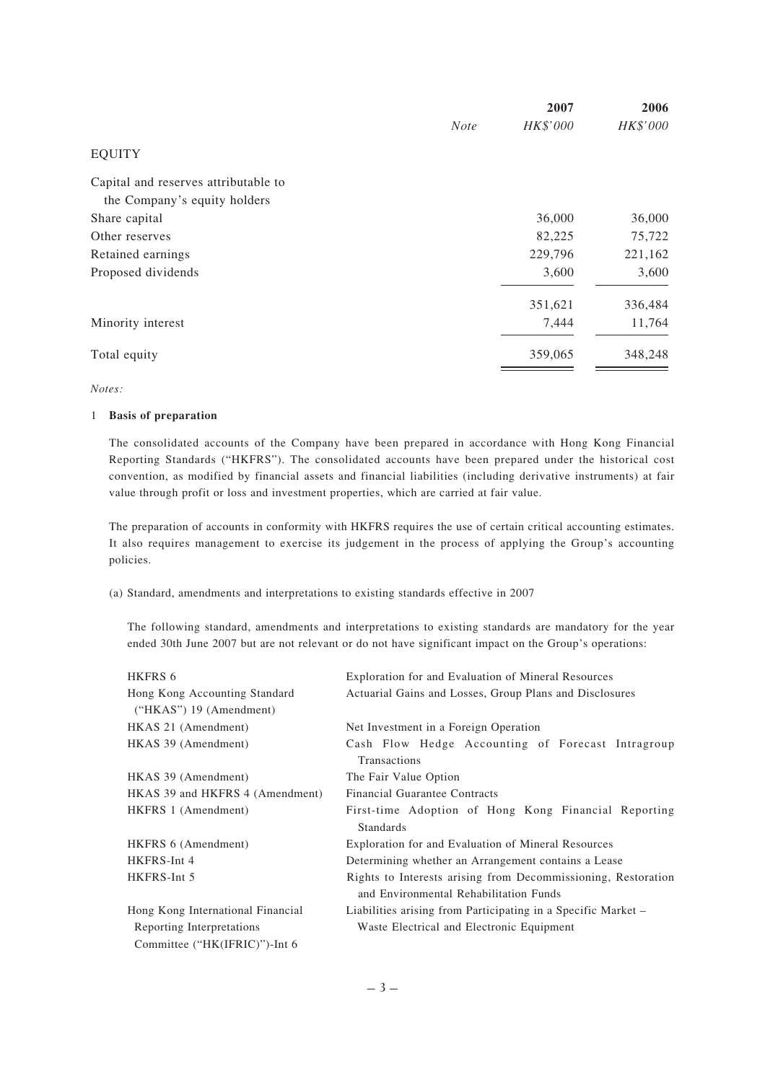|                                      |             | 2007     | 2006     |
|--------------------------------------|-------------|----------|----------|
|                                      | <b>Note</b> | HK\$'000 | HK\$'000 |
| <b>EQUITY</b>                        |             |          |          |
| Capital and reserves attributable to |             |          |          |
| the Company's equity holders         |             |          |          |
| Share capital                        |             | 36,000   | 36,000   |
| Other reserves                       |             | 82,225   | 75,722   |
| Retained earnings                    |             | 229,796  | 221,162  |
| Proposed dividends                   |             | 3,600    | 3,600    |
|                                      |             | 351,621  | 336,484  |
| Minority interest                    |             | 7,444    | 11,764   |
| Total equity                         |             | 359,065  | 348,248  |
|                                      |             |          |          |

*Notes:*

### 1 **Basis of preparation**

The consolidated accounts of the Company have been prepared in accordance with Hong Kong Financial Reporting Standards ("HKFRS"). The consolidated accounts have been prepared under the historical cost convention, as modified by financial assets and financial liabilities (including derivative instruments) at fair value through profit or loss and investment properties, which are carried at fair value.

The preparation of accounts in conformity with HKFRS requires the use of certain critical accounting estimates. It also requires management to exercise its judgement in the process of applying the Group's accounting policies.

(a) Standard, amendments and interpretations to existing standards effective in 2007

The following standard, amendments and interpretations to existing standards are mandatory for the year ended 30th June 2007 but are not relevant or do not have significant impact on the Group's operations:

| HKFRS 6                           | Exploration for and Evaluation of Mineral Resources           |  |  |
|-----------------------------------|---------------------------------------------------------------|--|--|
| Hong Kong Accounting Standard     | Actuarial Gains and Losses, Group Plans and Disclosures       |  |  |
| ("HKAS") $19$ (Amendment)         |                                                               |  |  |
| HKAS 21 (Amendment)               | Net Investment in a Foreign Operation                         |  |  |
| HKAS 39 (Amendment)               | Cash Flow Hedge Accounting of Forecast Intragroup             |  |  |
|                                   | <b>Transactions</b>                                           |  |  |
| HKAS 39 (Amendment)               | The Fair Value Option                                         |  |  |
| HKAS 39 and HKFRS 4 (Amendment)   | <b>Financial Guarantee Contracts</b>                          |  |  |
| HKFRS 1 (Amendment)               | First-time Adoption of Hong Kong Financial Reporting          |  |  |
|                                   | <b>Standards</b>                                              |  |  |
| HKFRS 6 (Amendment)               | Exploration for and Evaluation of Mineral Resources           |  |  |
| HKFRS-Int 4                       | Determining whether an Arrangement contains a Lease           |  |  |
| HKFRS-Int 5                       | Rights to Interests arising from Decommissioning, Restoration |  |  |
|                                   | and Environmental Rehabilitation Funds                        |  |  |
| Hong Kong International Financial | Liabilities arising from Participating in a Specific Market – |  |  |
| Reporting Interpretations         | Waste Electrical and Electronic Equipment                     |  |  |
| Committee ("HK(IFRIC)")-Int 6     |                                                               |  |  |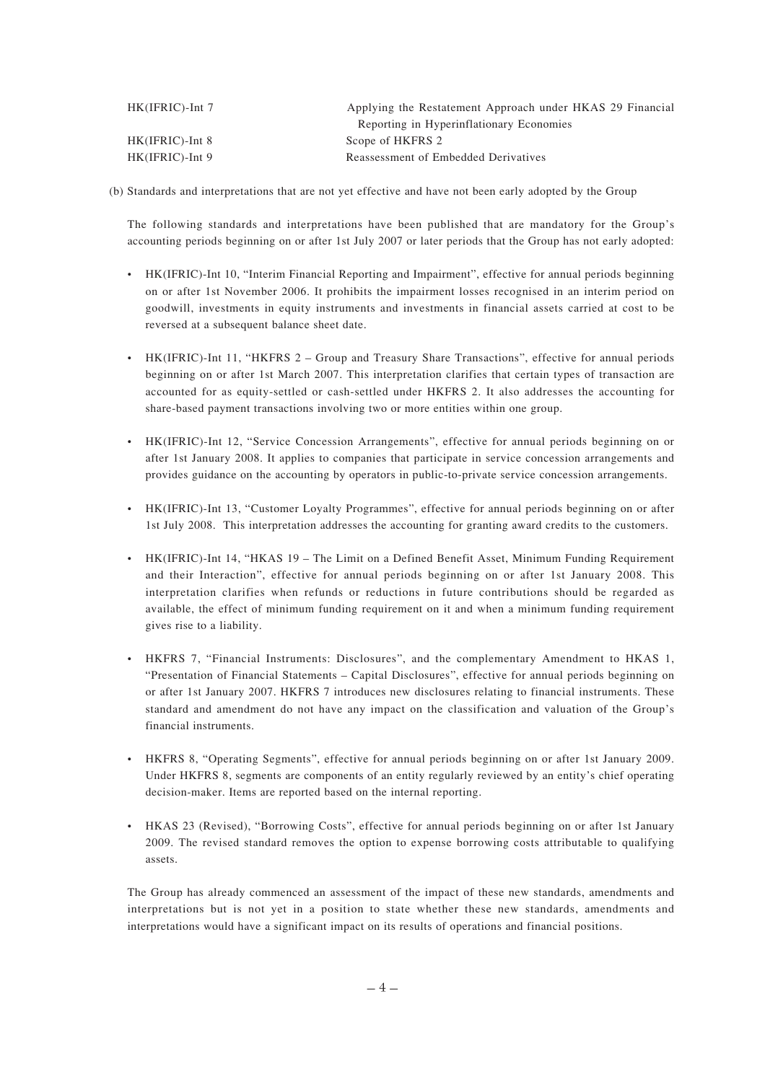| Applying the Restatement Approach under HKAS 29 Financial |
|-----------------------------------------------------------|
| Reporting in Hyperinflationary Economies                  |
| Scope of HKFRS 2                                          |
| Reassessment of Embedded Derivatives                      |
|                                                           |

(b) Standards and interpretations that are not yet effective and have not been early adopted by the Group

The following standards and interpretations have been published that are mandatory for the Group's accounting periods beginning on or after 1st July 2007 or later periods that the Group has not early adopted:

- HK(IFRIC)-Int 10, "Interim Financial Reporting and Impairment", effective for annual periods beginning on or after 1st November 2006. It prohibits the impairment losses recognised in an interim period on goodwill, investments in equity instruments and investments in financial assets carried at cost to be reversed at a subsequent balance sheet date.
- HK(IFRIC)-Int 11, "HKFRS 2 Group and Treasury Share Transactions", effective for annual periods beginning on or after 1st March 2007. This interpretation clarifies that certain types of transaction are accounted for as equity-settled or cash-settled under HKFRS 2. It also addresses the accounting for share-based payment transactions involving two or more entities within one group.
- HK(IFRIC)-Int 12, "Service Concession Arrangements", effective for annual periods beginning on or after 1st January 2008. It applies to companies that participate in service concession arrangements and provides guidance on the accounting by operators in public-to-private service concession arrangements.
- HK(IFRIC)-Int 13, "Customer Loyalty Programmes", effective for annual periods beginning on or after 1st July 2008. This interpretation addresses the accounting for granting award credits to the customers.
- HK(IFRIC)-Int 14, "HKAS 19 The Limit on a Defined Benefit Asset, Minimum Funding Requirement and their Interaction", effective for annual periods beginning on or after 1st January 2008. This interpretation clarifies when refunds or reductions in future contributions should be regarded as available, the effect of minimum funding requirement on it and when a minimum funding requirement gives rise to a liability.
- HKFRS 7, "Financial Instruments: Disclosures", and the complementary Amendment to HKAS 1, "Presentation of Financial Statements – Capital Disclosures", effective for annual periods beginning on or after 1st January 2007. HKFRS 7 introduces new disclosures relating to financial instruments. These standard and amendment do not have any impact on the classification and valuation of the Group's financial instruments.
- HKFRS 8, "Operating Segments", effective for annual periods beginning on or after 1st January 2009. Under HKFRS 8, segments are components of an entity regularly reviewed by an entity's chief operating decision-maker. Items are reported based on the internal reporting.
- HKAS 23 (Revised), "Borrowing Costs", effective for annual periods beginning on or after 1st January 2009. The revised standard removes the option to expense borrowing costs attributable to qualifying assets.

The Group has already commenced an assessment of the impact of these new standards, amendments and interpretations but is not yet in a position to state whether these new standards, amendments and interpretations would have a significant impact on its results of operations and financial positions.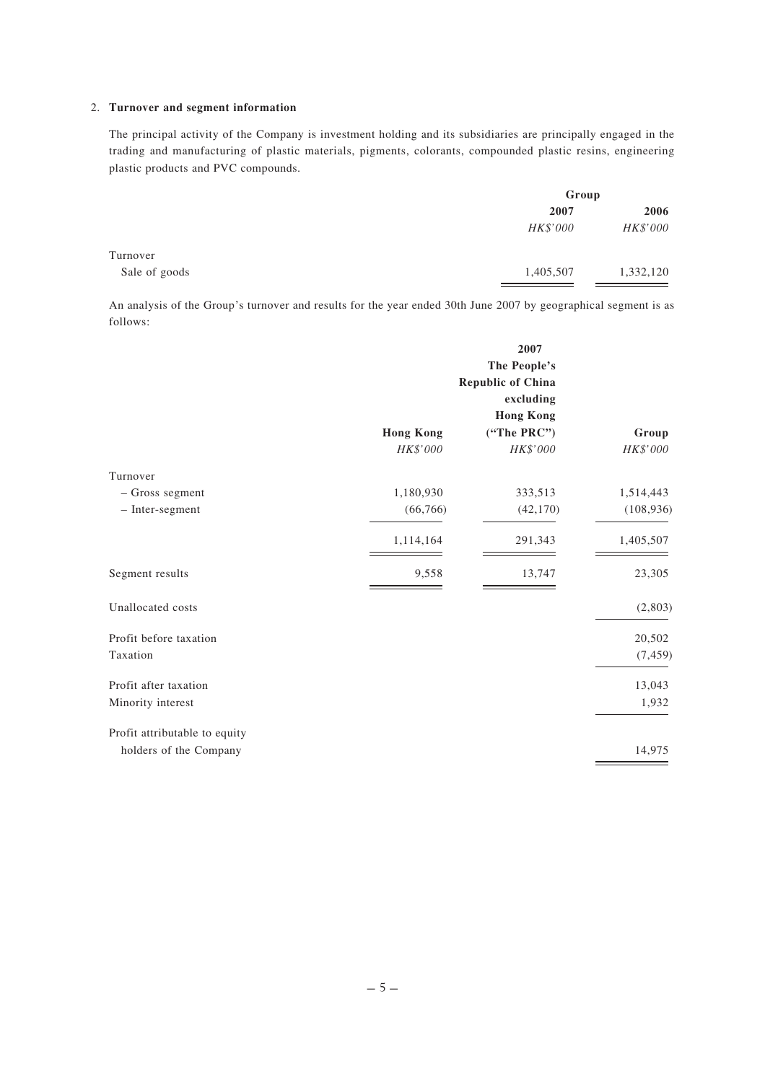### 2. **Turnover and segment information**

The principal activity of the Company is investment holding and its subsidiaries are principally engaged in the trading and manufacturing of plastic materials, pigments, colorants, compounded plastic resins, engineering plastic products and PVC compounds.

|               |           | Group     |  |
|---------------|-----------|-----------|--|
|               | 2007      | 2006      |  |
|               | HK\$'000  | HK\$'000  |  |
| Turnover      |           |           |  |
| Sale of goods | 1,405,507 | 1,332,120 |  |

An analysis of the Group's turnover and results for the year ended 30th June 2007 by geographical segment is as follows:

|                               | 2007<br>The People's<br><b>Republic of China</b><br>excluding<br><b>Hong Kong</b> |                         |                   |
|-------------------------------|-----------------------------------------------------------------------------------|-------------------------|-------------------|
|                               | <b>Hong Kong</b><br>HK\$'000                                                      | ("The PRC")<br>HK\$'000 | Group<br>HK\$'000 |
| Turnover                      |                                                                                   |                         |                   |
| - Gross segment               | 1,180,930                                                                         | 333,513                 | 1,514,443         |
| - Inter-segment               | (66, 766)                                                                         | (42, 170)               | (108, 936)        |
|                               | 1,114,164                                                                         | 291,343                 | 1,405,507         |
| Segment results               | 9,558                                                                             | 13,747                  | 23,305            |
| Unallocated costs             |                                                                                   |                         | (2,803)           |
| Profit before taxation        |                                                                                   |                         | 20,502            |
| Taxation                      |                                                                                   |                         | (7, 459)          |
| Profit after taxation         |                                                                                   |                         | 13,043            |
| Minority interest             |                                                                                   |                         | 1,932             |
| Profit attributable to equity |                                                                                   |                         |                   |
| holders of the Company        |                                                                                   |                         | 14,975            |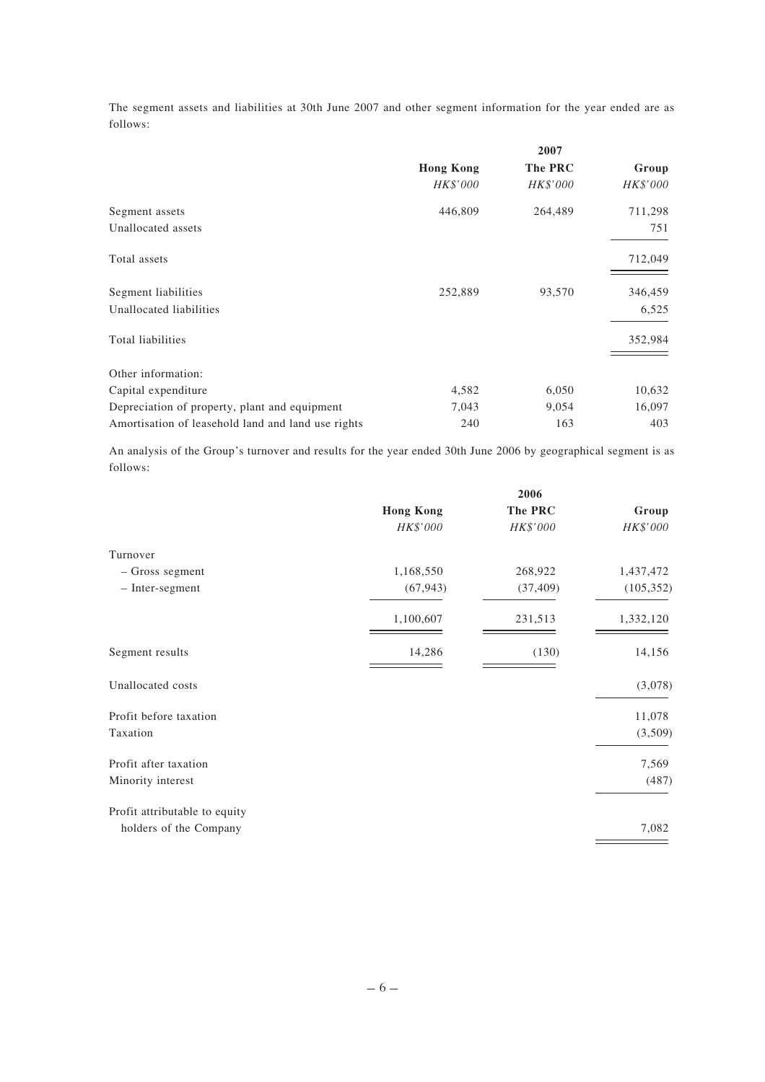The segment assets and liabilities at 30th June 2007 and other segment information for the year ended are as follows:

|                                                    |                  | 2007     |          |
|----------------------------------------------------|------------------|----------|----------|
|                                                    | <b>Hong Kong</b> | The PRC  | Group    |
|                                                    | HK\$'000         | HK\$'000 | HK\$'000 |
| Segment assets                                     | 446,809          | 264,489  | 711,298  |
| Unallocated assets                                 |                  |          | 751      |
| Total assets                                       |                  |          | 712,049  |
| Segment liabilities                                | 252,889          | 93,570   | 346,459  |
| Unallocated liabilities                            |                  |          | 6,525    |
| Total liabilities                                  |                  |          | 352,984  |
| Other information:                                 |                  |          |          |
| Capital expenditure                                | 4,582            | 6,050    | 10,632   |
| Depreciation of property, plant and equipment      | 7,043            | 9,054    | 16,097   |
| Amortisation of leasehold land and land use rights | 240              | 163      | 403      |

An analysis of the Group's turnover and results for the year ended 30th June 2006 by geographical segment is as follows:

|                               |                  | 2006      |            |  |
|-------------------------------|------------------|-----------|------------|--|
|                               | <b>Hong Kong</b> | The PRC   | Group      |  |
|                               | HK\$'000         | HK\$'000  | HK\$'000   |  |
| Turnover                      |                  |           |            |  |
| - Gross segment               | 1,168,550        | 268,922   | 1,437,472  |  |
| - Inter-segment               | (67, 943)        | (37, 409) | (105, 352) |  |
|                               | 1,100,607        | 231,513   | 1,332,120  |  |
| Segment results               | 14,286           | (130)     | 14,156     |  |
| Unallocated costs             |                  |           | (3,078)    |  |
| Profit before taxation        |                  |           | 11,078     |  |
| Taxation                      |                  |           | (3,509)    |  |
| Profit after taxation         |                  |           | 7,569      |  |
| Minority interest             |                  |           | (487)      |  |
| Profit attributable to equity |                  |           |            |  |
| holders of the Company        |                  |           | 7,082      |  |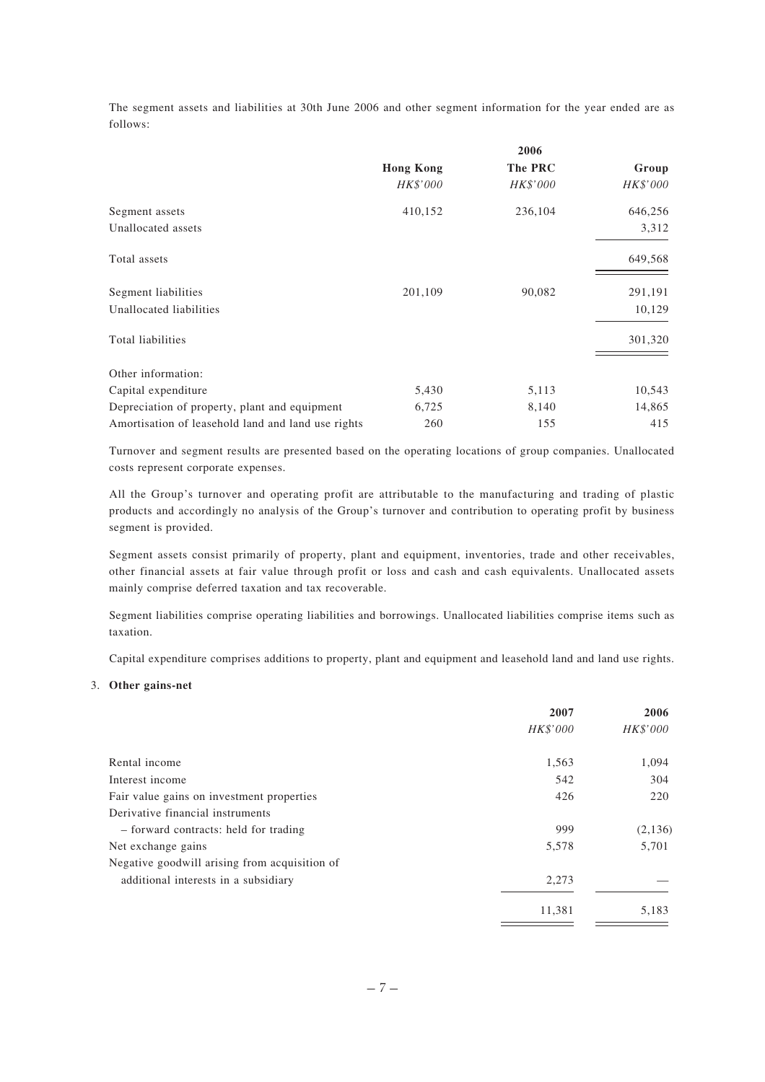The segment assets and liabilities at 30th June 2006 and other segment information for the year ended are as follows:

|                                                    | 2006             |          |          |
|----------------------------------------------------|------------------|----------|----------|
|                                                    | <b>Hong Kong</b> | The PRC  | Group    |
|                                                    | HK\$'000         | HK\$'000 | HK\$'000 |
| Segment assets                                     | 410,152          | 236,104  | 646,256  |
| Unallocated assets                                 |                  |          | 3,312    |
| Total assets                                       |                  |          | 649,568  |
| Segment liabilities                                | 201,109          | 90,082   | 291,191  |
| Unallocated liabilities                            |                  |          | 10,129   |
| Total liabilities                                  |                  |          | 301,320  |
| Other information:                                 |                  |          |          |
| Capital expenditure                                | 5,430            | 5,113    | 10,543   |
| Depreciation of property, plant and equipment      | 6,725            | 8,140    | 14,865   |
| Amortisation of leasehold land and land use rights | 260              | 155      | 415      |

Turnover and segment results are presented based on the operating locations of group companies. Unallocated costs represent corporate expenses.

All the Group's turnover and operating profit are attributable to the manufacturing and trading of plastic products and accordingly no analysis of the Group's turnover and contribution to operating profit by business segment is provided.

Segment assets consist primarily of property, plant and equipment, inventories, trade and other receivables, other financial assets at fair value through profit or loss and cash and cash equivalents. Unallocated assets mainly comprise deferred taxation and tax recoverable.

Segment liabilities comprise operating liabilities and borrowings. Unallocated liabilities comprise items such as taxation.

Capital expenditure comprises additions to property, plant and equipment and leasehold land and land use rights.

### 3. **Other gains-net**

|                                               | 2007     | 2006     |
|-----------------------------------------------|----------|----------|
|                                               | HK\$'000 | HK\$'000 |
| Rental income                                 | 1,563    | 1,094    |
| Interest income                               | 542      | 304      |
| Fair value gains on investment properties     | 426      | 220      |
| Derivative financial instruments              |          |          |
| - forward contracts: held for trading         | 999      | (2,136)  |
| Net exchange gains                            | 5,578    | 5,701    |
| Negative goodwill arising from acquisition of |          |          |
| additional interests in a subsidiary          | 2,273    |          |
|                                               | 11,381   | 5,183    |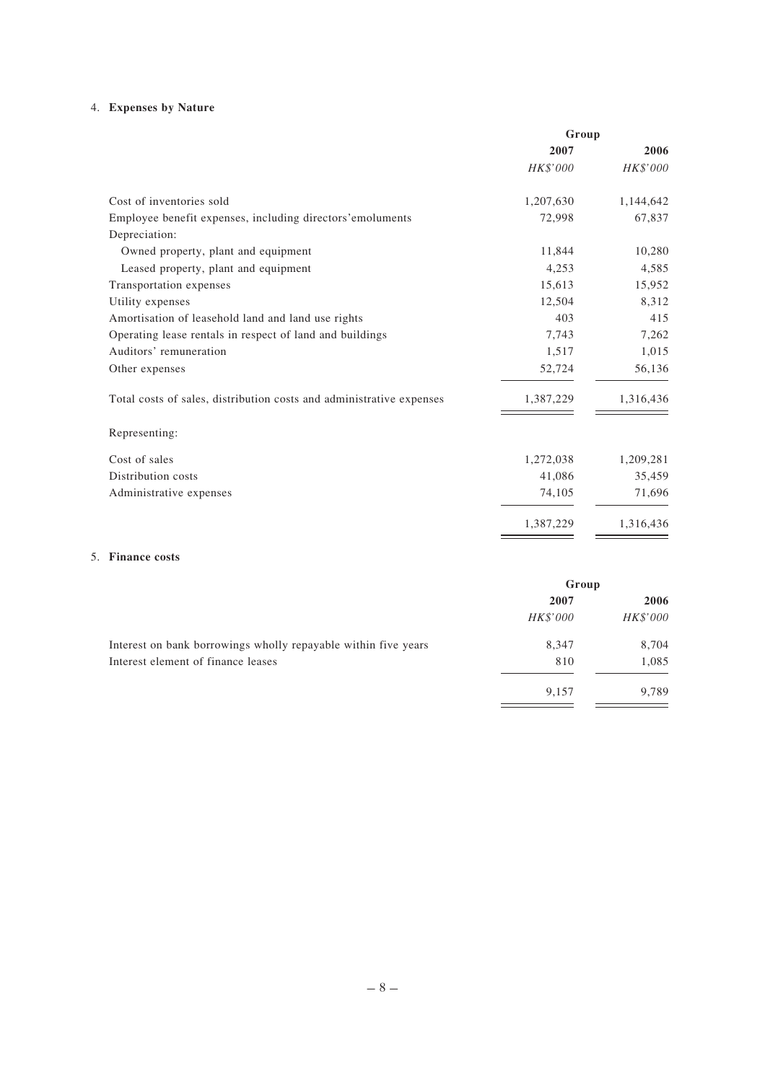# 4. **Expenses by Nature**

|                                                                      | Group     |           |
|----------------------------------------------------------------------|-----------|-----------|
|                                                                      | 2007      | 2006      |
|                                                                      | HK\$'000  | HK\$'000  |
| Cost of inventories sold                                             | 1,207,630 | 1,144,642 |
| Employee benefit expenses, including directors' emoluments           | 72,998    | 67,837    |
| Depreciation:                                                        |           |           |
| Owned property, plant and equipment                                  | 11,844    | 10,280    |
| Leased property, plant and equipment                                 | 4,253     | 4,585     |
| Transportation expenses                                              | 15,613    | 15,952    |
| Utility expenses                                                     | 12,504    | 8,312     |
| Amortisation of leasehold land and land use rights                   | 403       | 415       |
| Operating lease rentals in respect of land and buildings             | 7.743     | 7,262     |
| Auditors' remuneration                                               | 1,517     | 1,015     |
| Other expenses                                                       | 52,724    | 56,136    |
| Total costs of sales, distribution costs and administrative expenses | 1,387,229 | 1,316,436 |
| Representing:                                                        |           |           |
| Cost of sales                                                        | 1,272,038 | 1,209,281 |
| Distribution costs                                                   | 41,086    | 35,459    |
| Administrative expenses                                              | 74,105    | 71,696    |
|                                                                      | 1,387,229 | 1,316,436 |
| 5. Finance costs                                                     |           |           |

|                                                                | Group    |          |
|----------------------------------------------------------------|----------|----------|
|                                                                | 2007     | 2006     |
|                                                                | HK\$'000 | HK\$'000 |
| Interest on bank borrowings wholly repayable within five years | 8,347    | 8,704    |
| Interest element of finance leases                             | 810      | 1,085    |
|                                                                | 9,157    | 9,789    |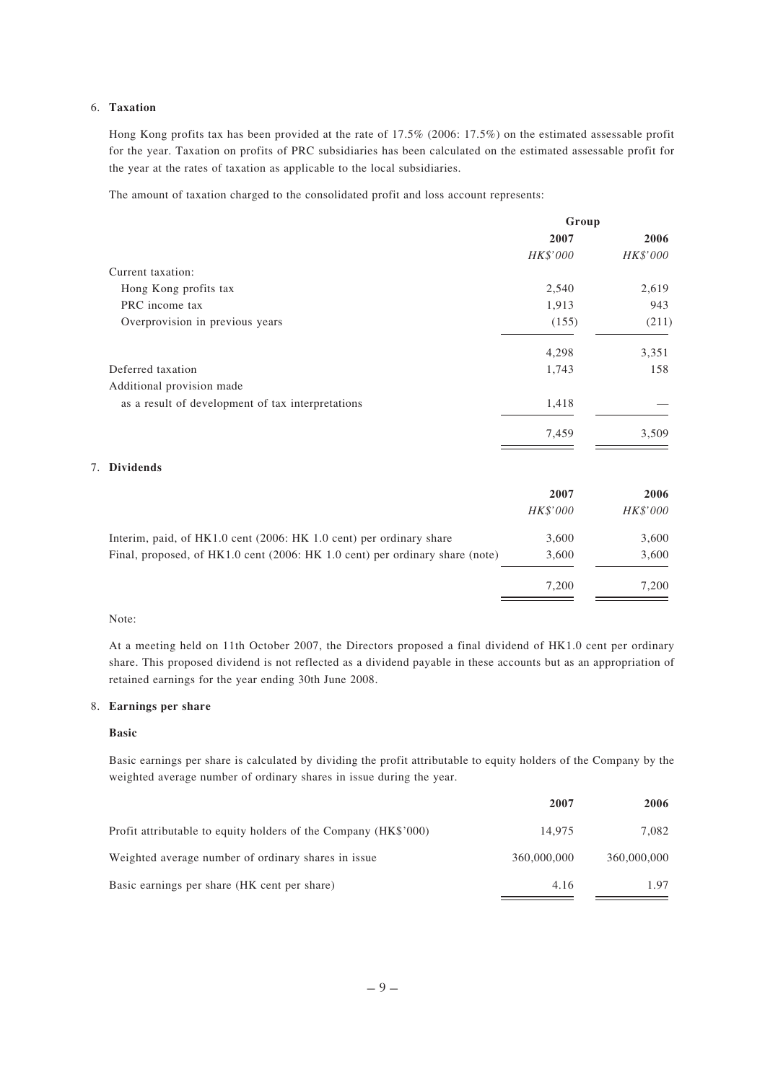### 6. **Taxation**

Hong Kong profits tax has been provided at the rate of 17.5% (2006: 17.5%) on the estimated assessable profit for the year. Taxation on profits of PRC subsidiaries has been calculated on the estimated assessable profit for the year at the rates of taxation as applicable to the local subsidiaries.

The amount of taxation charged to the consolidated profit and loss account represents:

| Group    |          |
|----------|----------|
| 2007     | 2006     |
| HK\$'000 | HK\$'000 |
|          |          |
| 2,540    | 2,619    |
| 1,913    | 943      |
| (155)    | (211)    |
| 4,298    | 3,351    |
| 1,743    | 158      |
|          |          |
| 1,418    |          |
| 7,459    | 3,509    |
|          |          |

### 7. **Dividends**

|                                                                              | 2007            | 2006     |
|------------------------------------------------------------------------------|-----------------|----------|
|                                                                              | <i>HK\$'000</i> | HK\$'000 |
| Interim, paid, of HK1.0 cent (2006: HK 1.0 cent) per ordinary share          | 3,600           | 3,600    |
| Final, proposed, of HK1.0 cent (2006: HK 1.0 cent) per ordinary share (note) | 3,600           | 3,600    |
|                                                                              | 7.200           | 7.200    |

### Note:

At a meeting held on 11th October 2007, the Directors proposed a final dividend of HK1.0 cent per ordinary share. This proposed dividend is not reflected as a dividend payable in these accounts but as an appropriation of retained earnings for the year ending 30th June 2008.

### 8. **Earnings per share**

### **Basic**

Basic earnings per share is calculated by dividing the profit attributable to equity holders of the Company by the weighted average number of ordinary shares in issue during the year.

|                                                                 | 2007        | 2006        |
|-----------------------------------------------------------------|-------------|-------------|
| Profit attributable to equity holders of the Company (HK\$'000) | 14.975      | 7.082       |
| Weighted average number of ordinary shares in issue             | 360,000,000 | 360,000,000 |
| Basic earnings per share (HK cent per share)                    | 4.16        | 1.97        |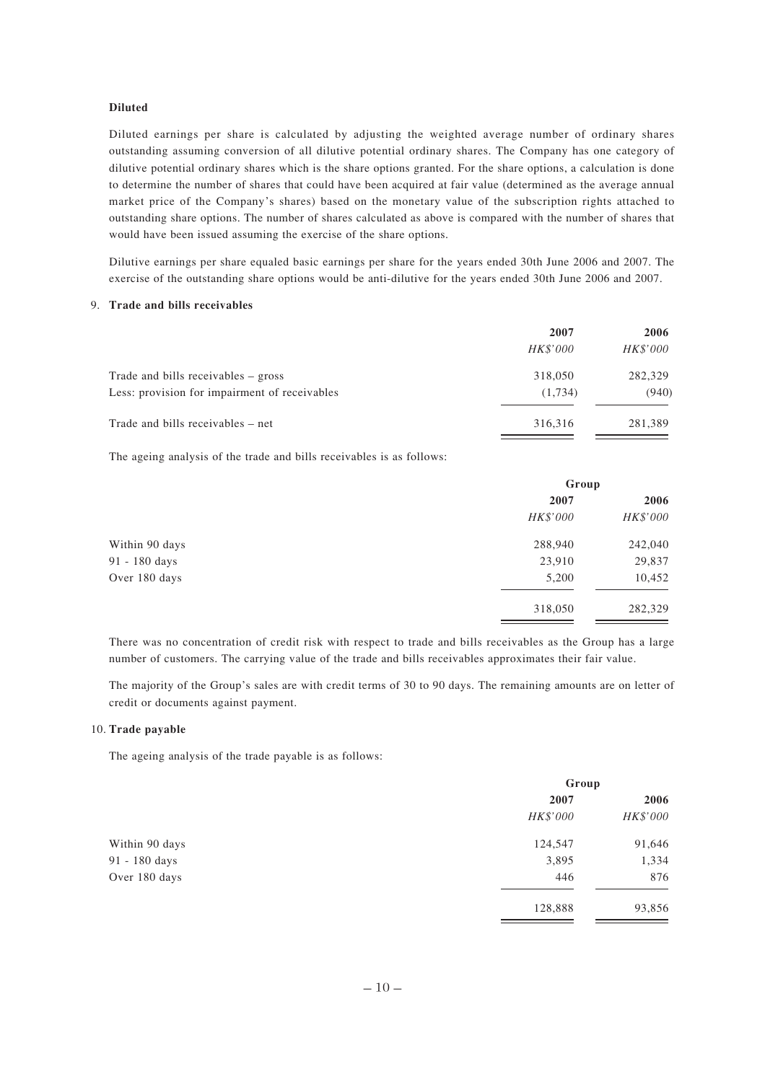#### **Diluted**

Diluted earnings per share is calculated by adjusting the weighted average number of ordinary shares outstanding assuming conversion of all dilutive potential ordinary shares. The Company has one category of dilutive potential ordinary shares which is the share options granted. For the share options, a calculation is done to determine the number of shares that could have been acquired at fair value (determined as the average annual market price of the Company's shares) based on the monetary value of the subscription rights attached to outstanding share options. The number of shares calculated as above is compared with the number of shares that would have been issued assuming the exercise of the share options.

Dilutive earnings per share equaled basic earnings per share for the years ended 30th June 2006 and 2007. The exercise of the outstanding share options would be anti-dilutive for the years ended 30th June 2006 and 2007.

#### 9. **Trade and bills receivables**

|                                               | 2007            | 2006            |
|-----------------------------------------------|-----------------|-----------------|
|                                               | <i>HK\$'000</i> | <i>HK\$'000</i> |
| Trade and bills receivables – gross           | 318,050         | 282,329         |
| Less: provision for impairment of receivables | (1.734)         | (940)           |
| Trade and bills receivables – net             | 316.316         | 281,389         |

The ageing analysis of the trade and bills receivables is as follows:

|                | Group    |          |
|----------------|----------|----------|
|                | 2007     | 2006     |
|                | HK\$'000 | HK\$'000 |
| Within 90 days | 288,940  | 242,040  |
| 91 - 180 days  | 23,910   | 29,837   |
| Over 180 days  | 5,200    | 10,452   |
|                | 318,050  | 282,329  |

There was no concentration of credit risk with respect to trade and bills receivables as the Group has a large number of customers. The carrying value of the trade and bills receivables approximates their fair value.

The majority of the Group's sales are with credit terms of 30 to 90 days. The remaining amounts are on letter of credit or documents against payment.

#### 10. **Trade payable**

The ageing analysis of the trade payable is as follows:

|                | Group    |          |
|----------------|----------|----------|
|                | 2007     | 2006     |
|                | HK\$'000 | HK\$'000 |
| Within 90 days | 124,547  | 91,646   |
| 91 - 180 days  | 3,895    | 1,334    |
| Over 180 days  | 446      | 876      |
|                | 128,888  | 93,856   |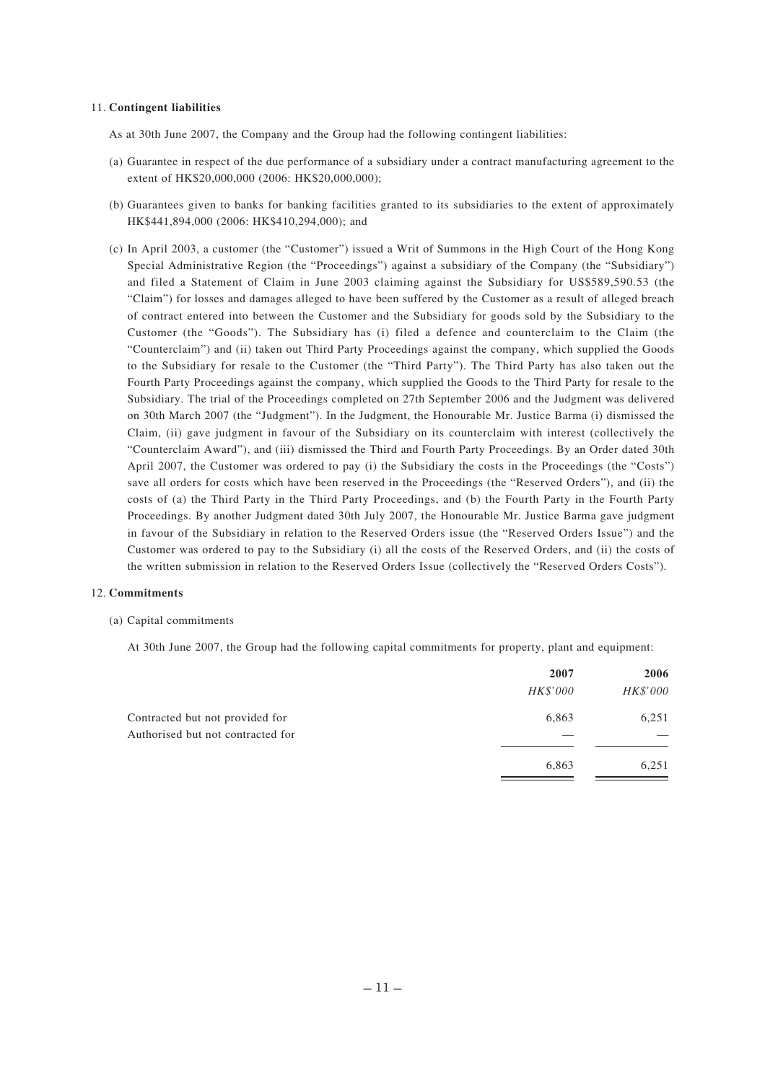#### 11. **Contingent liabilities**

As at 30th June 2007, the Company and the Group had the following contingent liabilities:

- (a) Guarantee in respect of the due performance of a subsidiary under a contract manufacturing agreement to the extent of HK\$20,000,000 (2006: HK\$20,000,000);
- (b) Guarantees given to banks for banking facilities granted to its subsidiaries to the extent of approximately HK\$441,894,000 (2006: HK\$410,294,000); and
- (c) In April 2003, a customer (the "Customer") issued a Writ of Summons in the High Court of the Hong Kong Special Administrative Region (the "Proceedings") against a subsidiary of the Company (the "Subsidiary") and filed a Statement of Claim in June 2003 claiming against the Subsidiary for US\$589,590.53 (the "Claim") for losses and damages alleged to have been suffered by the Customer as a result of alleged breach of contract entered into between the Customer and the Subsidiary for goods sold by the Subsidiary to the Customer (the "Goods"). The Subsidiary has (i) filed a defence and counterclaim to the Claim (the "Counterclaim") and (ii) taken out Third Party Proceedings against the company, which supplied the Goods to the Subsidiary for resale to the Customer (the "Third Party"). The Third Party has also taken out the Fourth Party Proceedings against the company, which supplied the Goods to the Third Party for resale to the Subsidiary. The trial of the Proceedings completed on 27th September 2006 and the Judgment was delivered on 30th March 2007 (the "Judgment"). In the Judgment, the Honourable Mr. Justice Barma (i) dismissed the Claim, (ii) gave judgment in favour of the Subsidiary on its counterclaim with interest (collectively the "Counterclaim Award"), and (iii) dismissed the Third and Fourth Party Proceedings. By an Order dated 30th April 2007, the Customer was ordered to pay (i) the Subsidiary the costs in the Proceedings (the "Costs") save all orders for costs which have been reserved in the Proceedings (the "Reserved Orders"), and (ii) the costs of (a) the Third Party in the Third Party Proceedings, and (b) the Fourth Party in the Fourth Party Proceedings. By another Judgment dated 30th July 2007, the Honourable Mr. Justice Barma gave judgment in favour of the Subsidiary in relation to the Reserved Orders issue (the "Reserved Orders Issue") and the Customer was ordered to pay to the Subsidiary (i) all the costs of the Reserved Orders, and (ii) the costs of the written submission in relation to the Reserved Orders Issue (collectively the "Reserved Orders Costs").

#### 12. **Commitments**

#### (a) Capital commitments

At 30th June 2007, the Group had the following capital commitments for property, plant and equipment:

|                                   | 2007     | 2006     |
|-----------------------------------|----------|----------|
|                                   | HK\$'000 | HK\$'000 |
| Contracted but not provided for   | 6,863    | 6,251    |
| Authorised but not contracted for |          |          |
|                                   | 6,863    | 6,251    |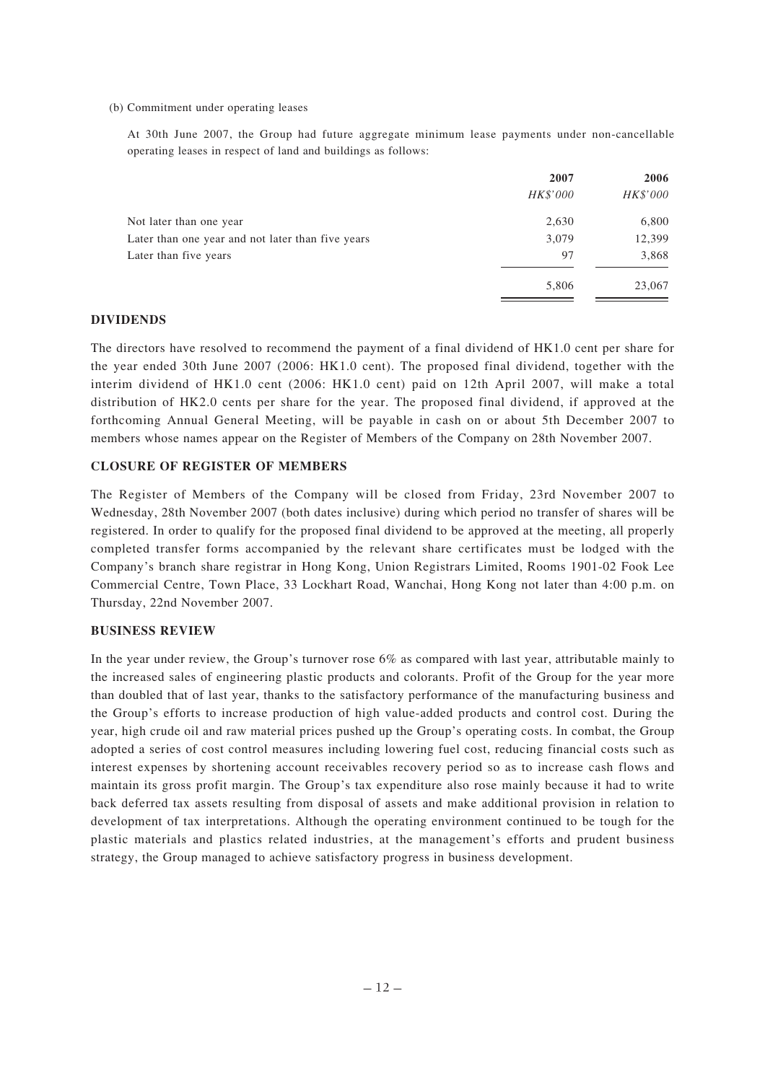#### (b) Commitment under operating leases

At 30th June 2007, the Group had future aggregate minimum lease payments under non-cancellable operating leases in respect of land and buildings as follows:

|                                                   | 2007     | 2006     |
|---------------------------------------------------|----------|----------|
|                                                   | HK\$'000 | HK\$'000 |
| Not later than one year                           | 2,630    | 6,800    |
| Later than one year and not later than five years | 3,079    | 12,399   |
| Later than five years                             | 97       | 3,868    |
|                                                   | 5,806    | 23,067   |

### **DIVIDENDS**

The directors have resolved to recommend the payment of a final dividend of HK1.0 cent per share for the year ended 30th June 2007 (2006: HK1.0 cent). The proposed final dividend, together with the interim dividend of HK1.0 cent (2006: HK1.0 cent) paid on 12th April 2007, will make a total distribution of HK2.0 cents per share for the year. The proposed final dividend, if approved at the forthcoming Annual General Meeting, will be payable in cash on or about 5th December 2007 to members whose names appear on the Register of Members of the Company on 28th November 2007.

### **CLOSURE OF REGISTER OF MEMBERS**

The Register of Members of the Company will be closed from Friday, 23rd November 2007 to Wednesday, 28th November 2007 (both dates inclusive) during which period no transfer of shares will be registered. In order to qualify for the proposed final dividend to be approved at the meeting, all properly completed transfer forms accompanied by the relevant share certificates must be lodged with the Company's branch share registrar in Hong Kong, Union Registrars Limited, Rooms 1901-02 Fook Lee Commercial Centre, Town Place, 33 Lockhart Road, Wanchai, Hong Kong not later than 4:00 p.m. on Thursday, 22nd November 2007.

### **BUSINESS REVIEW**

In the year under review, the Group's turnover rose 6% as compared with last year, attributable mainly to the increased sales of engineering plastic products and colorants. Profit of the Group for the year more than doubled that of last year, thanks to the satisfactory performance of the manufacturing business and the Group's efforts to increase production of high value-added products and control cost. During the year, high crude oil and raw material prices pushed up the Group's operating costs. In combat, the Group adopted a series of cost control measures including lowering fuel cost, reducing financial costs such as interest expenses by shortening account receivables recovery period so as to increase cash flows and maintain its gross profit margin. The Group's tax expenditure also rose mainly because it had to write back deferred tax assets resulting from disposal of assets and make additional provision in relation to development of tax interpretations. Although the operating environment continued to be tough for the plastic materials and plastics related industries, at the management's efforts and prudent business strategy, the Group managed to achieve satisfactory progress in business development.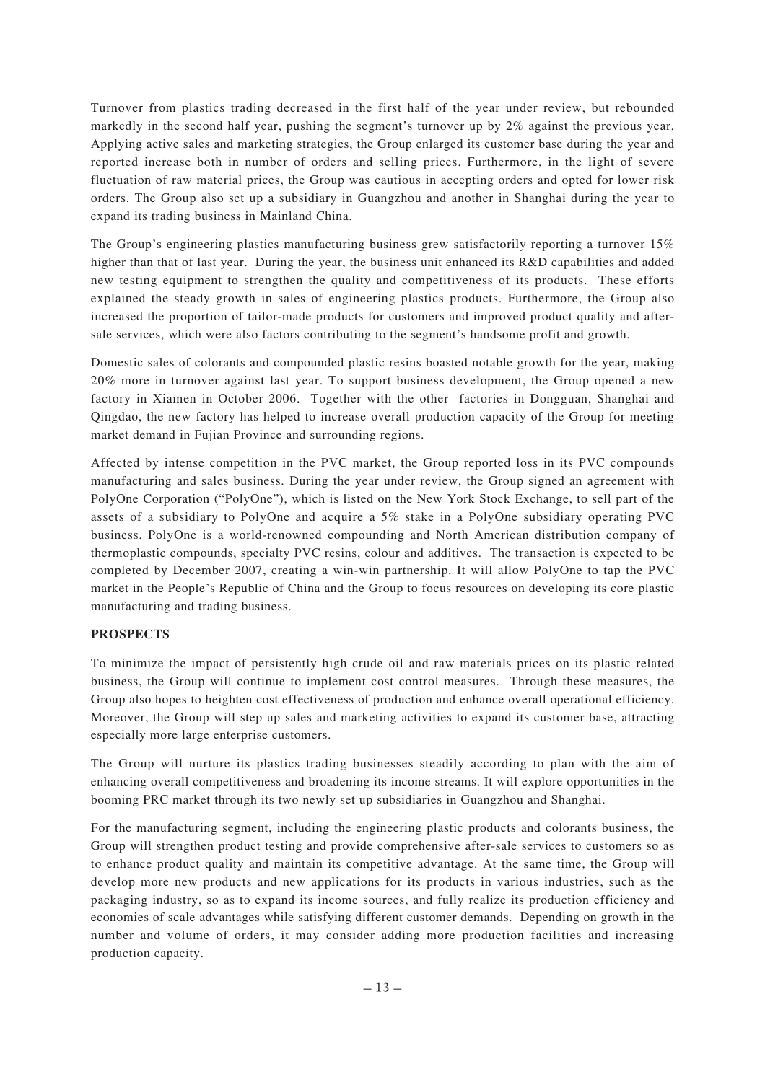Turnover from plastics trading decreased in the first half of the year under review, but rebounded markedly in the second half year, pushing the segment's turnover up by 2% against the previous year. Applying active sales and marketing strategies, the Group enlarged its customer base during the year and reported increase both in number of orders and selling prices. Furthermore, in the light of severe fluctuation of raw material prices, the Group was cautious in accepting orders and opted for lower risk orders. The Group also set up a subsidiary in Guangzhou and another in Shanghai during the year to expand its trading business in Mainland China.

The Group's engineering plastics manufacturing business grew satisfactorily reporting a turnover 15% higher than that of last year. During the year, the business unit enhanced its R&D capabilities and added new testing equipment to strengthen the quality and competitiveness of its products. These efforts explained the steady growth in sales of engineering plastics products. Furthermore, the Group also increased the proportion of tailor-made products for customers and improved product quality and aftersale services, which were also factors contributing to the segment's handsome profit and growth.

Domestic sales of colorants and compounded plastic resins boasted notable growth for the year, making 20% more in turnover against last year. To support business development, the Group opened a new factory in Xiamen in October 2006. Together with the other factories in Dongguan, Shanghai and Qingdao, the new factory has helped to increase overall production capacity of the Group for meeting market demand in Fujian Province and surrounding regions.

Affected by intense competition in the PVC market, the Group reported loss in its PVC compounds manufacturing and sales business. During the year under review, the Group signed an agreement with PolyOne Corporation ("PolyOne"), which is listed on the New York Stock Exchange, to sell part of the assets of a subsidiary to PolyOne and acquire a 5% stake in a PolyOne subsidiary operating PVC business. PolyOne is a world-renowned compounding and North American distribution company of thermoplastic compounds, specialty PVC resins, colour and additives. The transaction is expected to be completed by December 2007, creating a win-win partnership. It will allow PolyOne to tap the PVC market in the People's Republic of China and the Group to focus resources on developing its core plastic manufacturing and trading business.

# **PROSPECTS**

To minimize the impact of persistently high crude oil and raw materials prices on its plastic related business, the Group will continue to implement cost control measures. Through these measures, the Group also hopes to heighten cost effectiveness of production and enhance overall operational efficiency. Moreover, the Group will step up sales and marketing activities to expand its customer base, attracting especially more large enterprise customers.

The Group will nurture its plastics trading businesses steadily according to plan with the aim of enhancing overall competitiveness and broadening its income streams. It will explore opportunities in the booming PRC market through its two newly set up subsidiaries in Guangzhou and Shanghai.

For the manufacturing segment, including the engineering plastic products and colorants business, the Group will strengthen product testing and provide comprehensive after-sale services to customers so as to enhance product quality and maintain its competitive advantage. At the same time, the Group will develop more new products and new applications for its products in various industries, such as the packaging industry, so as to expand its income sources, and fully realize its production efficiency and economies of scale advantages while satisfying different customer demands. Depending on growth in the number and volume of orders, it may consider adding more production facilities and increasing production capacity.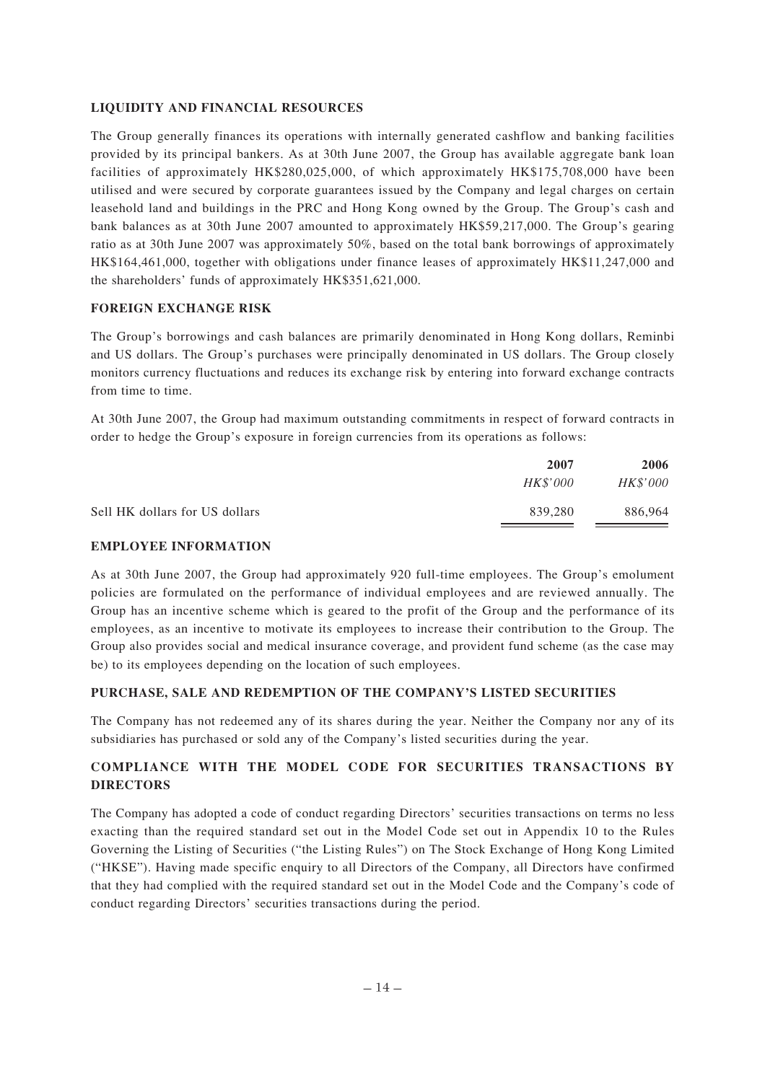## **LIQUIDITY AND FINANCIAL RESOURCES**

The Group generally finances its operations with internally generated cashflow and banking facilities provided by its principal bankers. As at 30th June 2007, the Group has available aggregate bank loan facilities of approximately HK\$280,025,000, of which approximately HK\$175,708,000 have been utilised and were secured by corporate guarantees issued by the Company and legal charges on certain leasehold land and buildings in the PRC and Hong Kong owned by the Group. The Group's cash and bank balances as at 30th June 2007 amounted to approximately HK\$59,217,000. The Group's gearing ratio as at 30th June 2007 was approximately 50%, based on the total bank borrowings of approximately HK\$164,461,000, together with obligations under finance leases of approximately HK\$11,247,000 and the shareholders' funds of approximately HK\$351,621,000.

## **FOREIGN EXCHANGE RISK**

The Group's borrowings and cash balances are primarily denominated in Hong Kong dollars, Reminbi and US dollars. The Group's purchases were principally denominated in US dollars. The Group closely monitors currency fluctuations and reduces its exchange risk by entering into forward exchange contracts from time to time.

At 30th June 2007, the Group had maximum outstanding commitments in respect of forward contracts in order to hedge the Group's exposure in foreign currencies from its operations as follows:

|                                | 2007            | 2006            |
|--------------------------------|-----------------|-----------------|
|                                | <i>HK\$'000</i> | <i>HK\$'000</i> |
| Sell HK dollars for US dollars | 839.280         | 886,964         |

# **EMPLOYEE INFORMATION**

As at 30th June 2007, the Group had approximately 920 full-time employees. The Group's emolument policies are formulated on the performance of individual employees and are reviewed annually. The Group has an incentive scheme which is geared to the profit of the Group and the performance of its employees, as an incentive to motivate its employees to increase their contribution to the Group. The Group also provides social and medical insurance coverage, and provident fund scheme (as the case may be) to its employees depending on the location of such employees.

# **PURCHASE, SALE AND REDEMPTION OF THE COMPANY'S LISTED SECURITIES**

The Company has not redeemed any of its shares during the year. Neither the Company nor any of its subsidiaries has purchased or sold any of the Company's listed securities during the year.

# **COMPLIANCE WITH THE MODEL CODE FOR SECURITIES TRANSACTIONS BY DIRECTORS**

The Company has adopted a code of conduct regarding Directors' securities transactions on terms no less exacting than the required standard set out in the Model Code set out in Appendix 10 to the Rules Governing the Listing of Securities ("the Listing Rules") on The Stock Exchange of Hong Kong Limited ("HKSE"). Having made specific enquiry to all Directors of the Company, all Directors have confirmed that they had complied with the required standard set out in the Model Code and the Company's code of conduct regarding Directors' securities transactions during the period.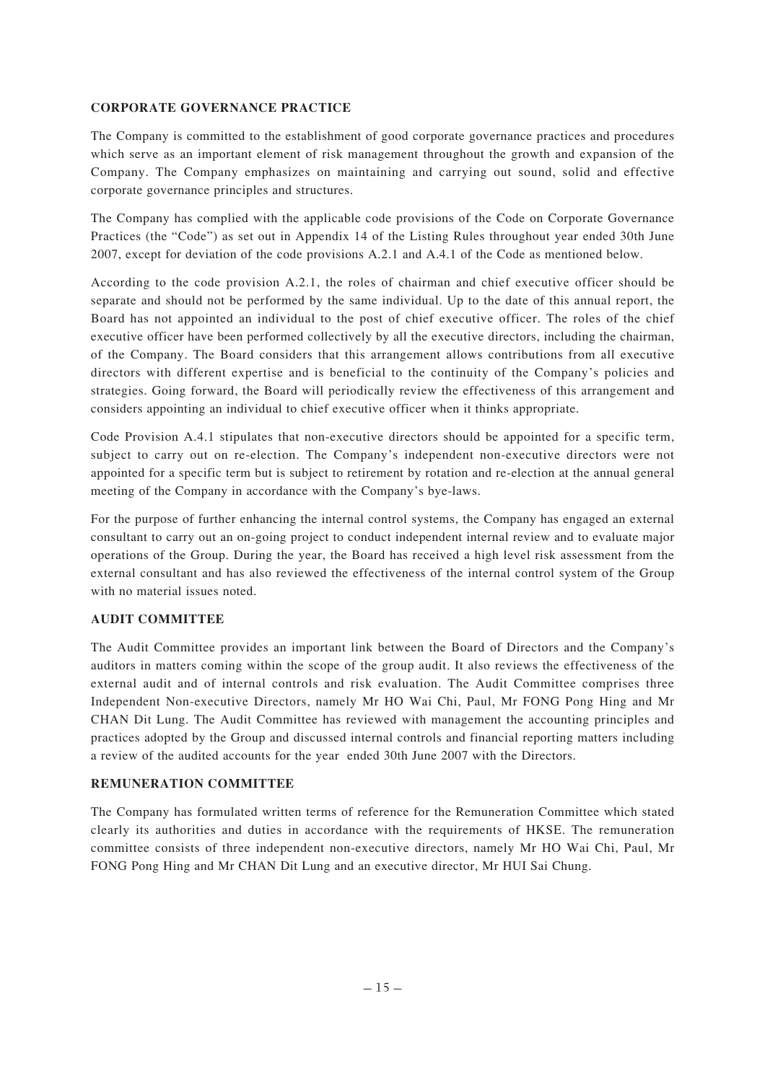## **CORPORATE GOVERNANCE PRACTICE**

The Company is committed to the establishment of good corporate governance practices and procedures which serve as an important element of risk management throughout the growth and expansion of the Company. The Company emphasizes on maintaining and carrying out sound, solid and effective corporate governance principles and structures.

The Company has complied with the applicable code provisions of the Code on Corporate Governance Practices (the "Code") as set out in Appendix 14 of the Listing Rules throughout year ended 30th June 2007, except for deviation of the code provisions A.2.1 and A.4.1 of the Code as mentioned below.

According to the code provision A.2.1, the roles of chairman and chief executive officer should be separate and should not be performed by the same individual. Up to the date of this annual report, the Board has not appointed an individual to the post of chief executive officer. The roles of the chief executive officer have been performed collectively by all the executive directors, including the chairman, of the Company. The Board considers that this arrangement allows contributions from all executive directors with different expertise and is beneficial to the continuity of the Company's policies and strategies. Going forward, the Board will periodically review the effectiveness of this arrangement and considers appointing an individual to chief executive officer when it thinks appropriate.

Code Provision A.4.1 stipulates that non-executive directors should be appointed for a specific term, subject to carry out on re-election. The Company's independent non-executive directors were not appointed for a specific term but is subject to retirement by rotation and re-election at the annual general meeting of the Company in accordance with the Company's bye-laws.

For the purpose of further enhancing the internal control systems, the Company has engaged an external consultant to carry out an on-going project to conduct independent internal review and to evaluate major operations of the Group. During the year, the Board has received a high level risk assessment from the external consultant and has also reviewed the effectiveness of the internal control system of the Group with no material issues noted.

# **AUDIT COMMITTEE**

The Audit Committee provides an important link between the Board of Directors and the Company's auditors in matters coming within the scope of the group audit. It also reviews the effectiveness of the external audit and of internal controls and risk evaluation. The Audit Committee comprises three Independent Non-executive Directors, namely Mr HO Wai Chi, Paul, Mr FONG Pong Hing and Mr CHAN Dit Lung. The Audit Committee has reviewed with management the accounting principles and practices adopted by the Group and discussed internal controls and financial reporting matters including a review of the audited accounts for the year ended 30th June 2007 with the Directors.

# **REMUNERATION COMMITTEE**

The Company has formulated written terms of reference for the Remuneration Committee which stated clearly its authorities and duties in accordance with the requirements of HKSE. The remuneration committee consists of three independent non-executive directors, namely Mr HO Wai Chi, Paul, Mr FONG Pong Hing and Mr CHAN Dit Lung and an executive director, Mr HUI Sai Chung.